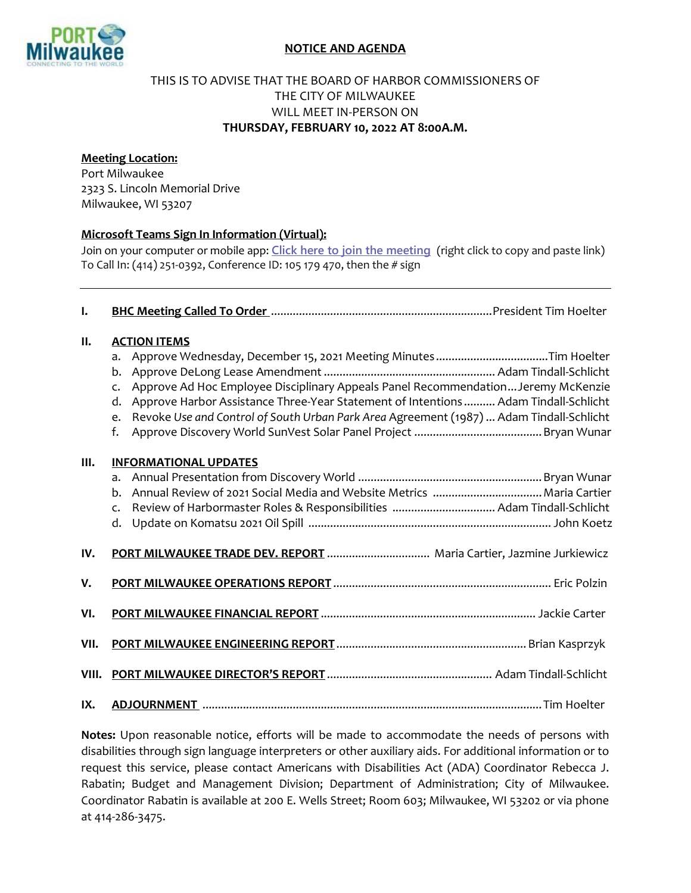

## **NOTICE AND AGENDA**

## THIS IS TO ADVISE THAT THE BOARD OF HARBOR COMMISSIONERS OF THE CITY OF MILWAUKEE WILL MEET IN-PERSON ON **THURSDAY, FEBRUARY 10, 2022 AT 8:00A.M.**

## **Meeting Location:**

Port Milwaukee 2323 S. Lincoln Memorial Drive Milwaukee, WI 53207

## **Microsoft Teams Sign In Information (Virtual):**

Join on your computer or mobile app: **[Click here to join the meeting](https://teams.microsoft.com/l/meetup-join/19:meeting_MmM3Zjc0NzYtOTcwOS00M2NiLTg4YzktOGQ0NjFlOGEzZGZj@thread.v2/0?context=%7B%22Tid%22:%2238886459-5f77-4622-b90e-436c994ba501%22,%22Oid%22:%22beb24c8d-6f0f-4c34-9c67-5ae2b703445c%22%7D)** (right click to copy and paste link) To Call In: (414) 251-0392, Conference ID: 105 179 470, then the # sign

| $\mathbf{l}$ . |                                                                                                                                                                                                                                                                                                                                                                                                                |
|----------------|----------------------------------------------------------------------------------------------------------------------------------------------------------------------------------------------------------------------------------------------------------------------------------------------------------------------------------------------------------------------------------------------------------------|
| II.            | <b>ACTION ITEMS</b><br>Approve Wednesday, December 15, 2021 Meeting Minutes Tim Hoelter<br>a.<br>b.<br>Approve Ad Hoc Employee Disciplinary Appeals Panel Recommendation Jeremy McKenzie<br>$\mathsf{C}$ .<br>Approve Harbor Assistance Three-Year Statement of Intentions  Adam Tindall-Schlicht<br>d.<br>Revoke Use and Control of South Urban Park Area Agreement (1987)  Adam Tindall-Schlicht<br>e.<br>f. |
| III.           | <b>INFORMATIONAL UPDATES</b><br>a.<br>b. Annual Review of 2021 Social Media and Website Metrics  Maria Cartier<br>$\mathsf{C}$ .                                                                                                                                                                                                                                                                               |
| IV.            | PORT MILWAUKEE TRADE DEV. REPORT  Maria Cartier, Jazmine Jurkiewicz                                                                                                                                                                                                                                                                                                                                            |
| V.             |                                                                                                                                                                                                                                                                                                                                                                                                                |
| VI.            |                                                                                                                                                                                                                                                                                                                                                                                                                |
| VII.           |                                                                                                                                                                                                                                                                                                                                                                                                                |
| VIII.          |                                                                                                                                                                                                                                                                                                                                                                                                                |
| IX.            |                                                                                                                                                                                                                                                                                                                                                                                                                |

**Notes:** Upon reasonable notice, efforts will be made to accommodate the needs of persons with disabilities through sign language interpreters or other auxiliary aids. For additional information or to request this service, please contact Americans with Disabilities Act (ADA) Coordinator Rebecca J. Rabatin; Budget and Management Division; Department of Administration; City of Milwaukee. Coordinator Rabatin is available at 200 E. Wells Street; Room 603; Milwaukee, WI 53202 or via phone at 414-286-3475.